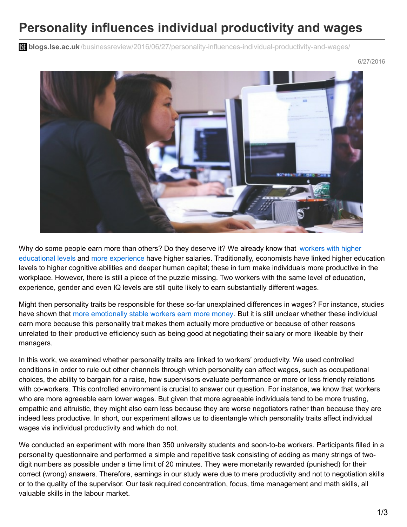## **Personality influences individual productivity and wages**

**blogs.lse.ac.uk**[/businessreview/2016/06/27/personality-influences-individual-productivity-and-wages/](http://blogs.lse.ac.uk/businessreview/2016/06/27/personality-influences-individual-productivity-and-wages/)

6/27/2016



Why do some people earn more than others? Do they deserve it? We already know that workers with higher educational levels and more [experience](https://ideas.repec.org/p/ifs/ifsewp/01-01.html) have higher salaries. [Traditionally,](http://www.bls.gov/emp/ep_chart_001.htm) economists have linked higher education levels to higher cognitive abilities and deeper human capital; these in turn make individuals more productive in the workplace. However, there is still a piece of the puzzle missing. Two workers with the same level of education, experience, gender and even IQ levels are still quite likely to earn substantially different wages.

Might then personality traits be responsible for these so-far unexplained differences in wages? For instance, studies have shown that more [emotionally](https://www.psychologytoday.com/articles/201210/money-the-wages-personality) stable workers earn more money. But it is still unclear whether these individual earn more because this personality trait makes them actually more productive or because of other reasons unrelated to their productive efficiency such as being good at negotiating their salary or more likeable by their managers.

In this work, we examined whether personality traits are linked to workers' productivity. We used controlled conditions in order to rule out other channels through which personality can affect wages, such as occupational choices, the ability to bargain for a raise, how supervisors evaluate performance or more or less friendly relations with co-workers. This controlled environment is crucial to answer our question. For instance, we know that workers who are more agreeable earn lower wages. But given that more agreeable individuals tend to be more trusting, empathic and altruistic, they might also earn less because they are worse negotiators rather than because they are indeed less productive. In short, our experiment allows us to disentangle which personality traits affect individual wages via individual productivity and which do not.

We conducted an experiment with more than 350 university students and soon-to-be workers. Participants filled in a personality questionnaire and performed a simple and repetitive task consisting of adding as many strings of twodigit numbers as possible under a time limit of 20 minutes. They were monetarily rewarded (punished) for their correct (wrong) answers. Therefore, earnings in our study were due to mere productivity and not to negotiation skills or to the quality of the supervisor. Our task required concentration, focus, time management and math skills, all valuable skills in the labour market.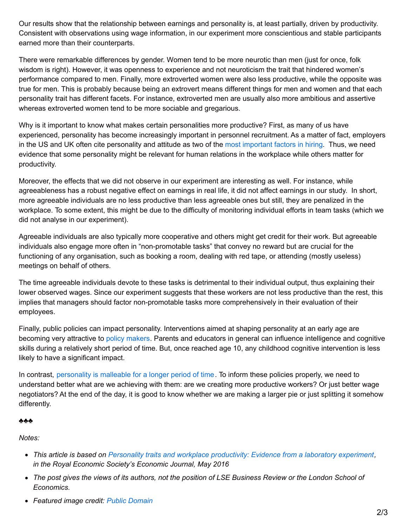Our results show that the relationship between earnings and personality is, at least partially, driven by productivity. Consistent with observations using wage information, in our experiment more conscientious and stable participants earned more than their counterparts.

There were remarkable differences by gender. Women tend to be more neurotic than men (just for once, folk wisdom is right). However, it was openness to experience and not neuroticism the trait that hindered women's performance compared to men. Finally, more extroverted women were also less productive, while the opposite was true for men. This is probably because being an extrovert means different things for men and women and that each personality trait has different facets. For instance, extroverted men are usually also more ambitious and assertive whereas extroverted women tend to be more sociable and gregarious.

Why is it important to know what makes certain personalities more productive? First, as many of us have experienced, personality has become increasingly important in personnel recruitment. As a matter of fact, employers in the US and UK often cite personality and attitude as two of the most [important](http://www.businessinsider.com/companies-are-hiring-for-personality-2014-9) factors in hiring. Thus, we need evidence that some personality might be relevant for human relations in the workplace while others matter for productivity.

Moreover, the effects that we did not observe in our experiment are interesting as well. For instance, while agreeableness has a robust negative effect on earnings in real life, it did not affect earnings in our study. In short, more agreeable individuals are no less productive than less agreeable ones but still, they are penalized in the workplace. To some extent, this might be due to the difficulty of monitoring individual efforts in team tasks (which we did not analyse in our experiment).

Agreeable individuals are also typically more cooperative and others might get credit for their work. But agreeable individuals also engage more often in "non-promotable tasks" that convey no reward but are crucial for the functioning of any organisation, such as booking a room, dealing with red tape, or attending (mostly useless) meetings on behalf of others.

The time agreeable individuals devote to these tasks is detrimental to their individual output, thus explaining their lower observed wages. Since our experiment suggests that these workers are not less productive than the rest, this implies that managers should factor non-promotable tasks more comprehensively in their evaluation of their employees.

Finally, public policies can impact personality. Interventions aimed at shaping personality at an early age are becoming very attractive to policy [makers](http://www.oecd.org/edu/ceri/Fostering-and-Measuring-Skills-Improving-Cognitive-and-Non-Cognitive-Skills-to-Promote-Lifetime-Success.pdf). Parents and educators in general can influence intelligence and cognitive skills during a relatively short period of time. But, once reached age 10, any childhood cognitive intervention is less likely to have a significant impact.

In contrast, [personality](https://ideas.repec.org/p/oec/eduaab/110-en.html) is malleable for a longer period of time. To inform these policies properly, we need to understand better what are we achieving with them: are we creating more productive workers? Or just better wage negotiators? At the end of the day, it is good to know whether we are making a larger pie or just splitting it somehow differently.

## ♣♣♣

*Notes:*

- *This article is based on Personality traits and workplace [productivity:](http://www.res.org.uk/details/mediabrief/9328861/PERSONALITY-TRAITS-AND-WORKPLACE-PRODUCTIVITY-Evidence-from-a-laboratory-experim.html) Evidence from a laboratory experiment, in the Royal Economic Society's Economic Journal, May 2016*
- The post gives the views of its authors, not the position of LSE Business Review or the London School of *Economics.*
- *Featured image credit: Public [Domain](https://www.pexels.com/photo/working-woman-technology-computer-7374/)*